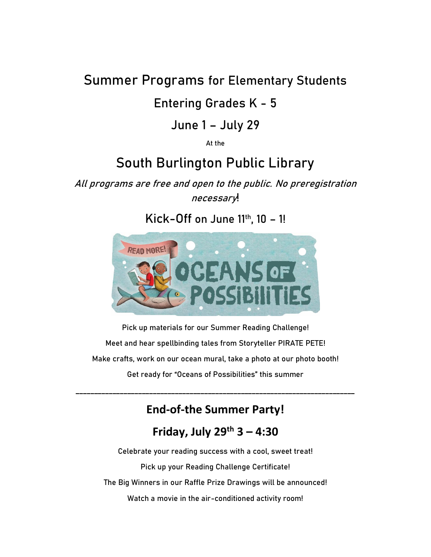### **Summer Programs for Elementary Students**

#### **Entering Grades K - 5**

#### **June 1 – July 29**

**At the**

## **South Burlington Public Library**

**All programs are free and open to the public. No preregistration necessary!**

**Kick-Off on June 11th, 10 – 1!**



**Pick up materials for our Summer Reading Challenge! Meet and hear spellbinding tales from Storyteller PIRATE PETE! Make crafts, work on our ocean mural, take a photo at our photo booth! Get ready for "Oceans of Possibilities" this summer**

**End-of-the Summer Party!**

**\_\_\_\_\_\_\_\_\_\_\_\_\_\_\_\_\_\_\_\_\_\_\_\_\_\_\_\_\_\_\_\_\_\_\_\_\_\_\_\_\_\_\_\_\_\_\_\_\_\_\_\_\_\_\_\_\_\_\_\_\_\_\_\_\_\_\_\_\_\_\_\_\_\_\_\_**

#### **Friday, July 29th 3 – 4:30**

**Celebrate your reading success with a cool, sweet treat! Pick up your Reading Challenge Certificate! The Big Winners in our Raffle Prize Drawings will be announced! Watch a movie in the air-conditioned activity room!**